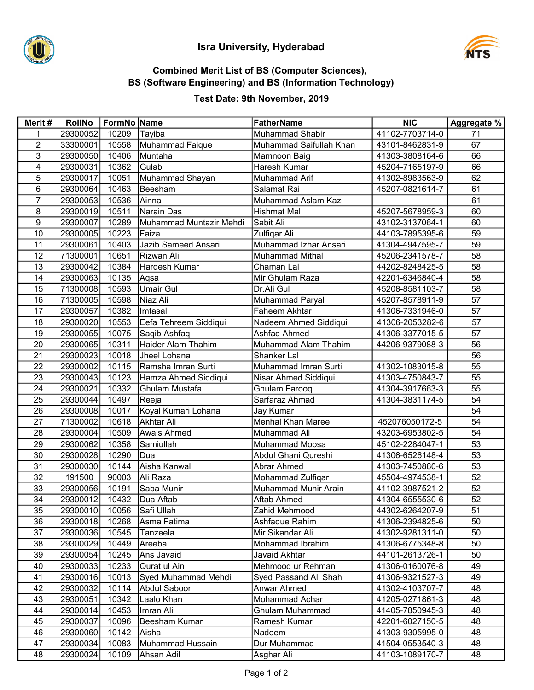

# Isra University, Hyderabad



#### Combined Merit List of BS (Computer Sciences), BS (Software Engineering) and BS (Information Technology)

#### Test Date: 9th November, 2019

| Merit#         | <b>RollNo</b>        | FormNo Name    |                           | <b>FatherName</b>               | <b>NIC</b>                         | Aggregate % |
|----------------|----------------------|----------------|---------------------------|---------------------------------|------------------------------------|-------------|
| 1              | 29300052             | 10209          | Tayiba                    | Muhammad Shabir                 | 41102-7703714-0                    | 71          |
| $\overline{c}$ | 33300001             | 10558          | Muhammad Faique           | Muhammad Saifullah Khan         | 43101-8462831-9                    | 67          |
| 3              | 29300050             | 10406          | Muntaha                   | Mamnoon Baig                    | 41303-3808164-6                    | 66          |
| 4              | 29300031             | 10362          | Gulab                     | Haresh Kumar                    | 45204-7165197-9                    | 66          |
| 5              | 29300017             | 10051          | Muhammad Shayan           | Muhammad Arif                   | 41302-8983563-9                    | 62          |
| 6              | 29300064             | 10463          | Beesham                   | Salamat Rai                     | 45207-0821614-7                    | 61          |
| $\overline{7}$ | 29300053             | 10536          | Ainna                     | Muhammad Aslam Kazi             |                                    | 61          |
| 8              | 29300019             | 10511          | Narain Das                | Hishmat Mal                     | 45207-5678959-3                    | 60          |
| 9              | 29300007             | 10289          | Muhammad Muntazir Mehdi   | Sabit Ali                       | 43102-3137064-1                    | 60          |
| 10             | 29300005             | 10223          | Faiza                     | Zulfiqar Ali                    | 44103-7895395-6                    | 59          |
| 11             | 29300061             | 10403          | Jazib Sameed Ansari       | Muhammad Izhar Ansari           | 41304-4947595-7                    | 59          |
| 12             | 71300001             | 10651          | Rizwan Ali                | <b>Muhammad Mithal</b>          | 45206-2341578-7                    | 58          |
| 13             | 29300042             | 10384          | Hardesh Kumar             | Chaman Lal                      | 44202-8248425-5                    | 58          |
| 14             | 29300063             | 10135          | Aqsa                      | Mir Ghulam Raza                 | 42201-6346840-4                    | 58          |
| 15             | 71300008             | 10593          | <b>Umair Gul</b>          | Dr.Ali Gul                      | 45208-8581103-7                    | 58          |
| 16             | 71300005             | 10598          | Niaz Ali                  | Muhammad Paryal                 | 45207-8578911-9                    | 57          |
| 17             | 29300057             | 10382          | Imtasal                   | Faheem Akhtar                   | 41306-7331946-0                    | 57          |
| 18             | 29300020             | 10553          | Eefa Tehreem Siddiqui     | Nadeem Ahmed Siddiqui           | 41306-2053282-6                    | 57          |
| 19             | 29300055             | 10075          | Saqib Ashfaq              | Ashfaq Ahmed                    | 41306-3377015-5                    | 57          |
| 20             | 29300065             | 10311          | Haider Alam Thahim        | Muhammad Alam Thahim            | 44206-9379088-3                    | 56          |
| 21             | 29300023             | 10018          | Jheel Lohana              | Shanker Lal                     |                                    | 56          |
| 22             | 29300002             | 10115          | Ramsha Imran Surti        | Muhammad Imran Surti            | 41302-1083015-8                    | 55          |
| 23             | 29300043             | 10123          | Hamza Ahmed Siddiqui      | Nisar Ahmed Siddiqui            | 41303-4750843-7                    | 55          |
| 24             | 29300021             | 10332          | Ghulam Mustafa            | Ghulam Farooq                   | 41304-3917663-3                    | 55          |
| 25             | 29300044             | 10497          | Reeja                     | Sarfaraz Ahmad                  | 41304-3831174-5                    | 54          |
| 26             | 29300008             | 10017          | Koyal Kumari Lohana       | Jay Kumar                       |                                    | 54          |
| 27             | 71300002             | 10618          | Akhtar Ali                | Menhal Khan Maree               | 452076050172-5                     | 54          |
| 28             | 29300004             | 10509          | Awais Ahmed               | Muhammad Ali                    | 43203-6953802-5                    | 54          |
| 29             | 29300062             | 10358          | Samiullah                 | Muhammad Moosa                  | 45102-2284047-1                    | 53          |
| 30             | 29300028             | 10290          | Dua                       | Abdul Ghani Qureshi             | 41306-6526148-4                    | 53          |
| 31             | 29300030             | 10144          | Aisha Kanwal              | <b>Abrar Ahmed</b>              | 41303-7450880-6                    | 53          |
| 32             | 191500               | 90003          | Ali Raza                  | Mohammad Zulfiqar               | 45504-4974538-1                    | 52          |
| 33             | 29300056             | 10191          | Saba Munir                | Muhammad Munir Arain            | 41102-3987521-2                    | 52          |
| 34             | 29300012             | 10432          | Dua Aftab                 | Aftab Ahmed                     | 41304-6555530-6<br>44302-6264207-9 | 52<br>51    |
| 35<br>36       | 29300010<br>29300018 | 10056          | Safi Ullah<br>Asma Fatima | Zahid Mehmood<br>Ashfaque Rahim |                                    | 50          |
| 37             | 29300036             | 10268          |                           | Mir Sikandar Ali                | 41306-2394825-6                    | 50          |
| 38             | 29300029             | 10545<br>10449 | Tanzeela<br>Areeba        | Mohammad Ibrahim                | 41302-9281311-0<br>41306-6775348-8 | 50          |
| 39             | 29300054             | 10245          | Ans Javaid                | Javaid Akhtar                   | 44101-2613726-1                    | 50          |
| 40             | 29300033             | 10233          | Qurat ul Ain              | Mehmood ur Rehman               | 41306-0160076-8                    | 49          |
| 41             | 29300016             | 10013          | Syed Muhammad Mehdi       | Syed Passand Ali Shah           | 41306-9321527-3                    | 49          |
| 42             | 29300032             | 10114          | Abdul Saboor              | Anwar Ahmed                     | 41302-4103707-7                    | 48          |
| 43             | 29300051             | 10342          | Laalo Khan                | Mohammad Achar                  | 41205-0271861-3                    | 48          |
| 44             | 29300014             | 10453          | Imran Ali                 | Ghulam Muhammad                 | 41405-7850945-3                    | 48          |
| 45             | 29300037             | 10096          | Beesham Kumar             | Ramesh Kumar                    | 42201-6027150-5                    | 48          |
| 46             | 29300060             | 10142          | Aisha                     | Nadeem                          | 41303-9305995-0                    | 48          |
| 47             | 29300034             | 10083          | Muhammad Hussain          | Dur Muhammad                    | 41504-0553540-3                    | 48          |
| 48             | 29300024             | 10109          | Ahsan Adil                | Asghar Ali                      | 41103-1089170-7                    | 48          |
|                |                      |                |                           |                                 |                                    |             |